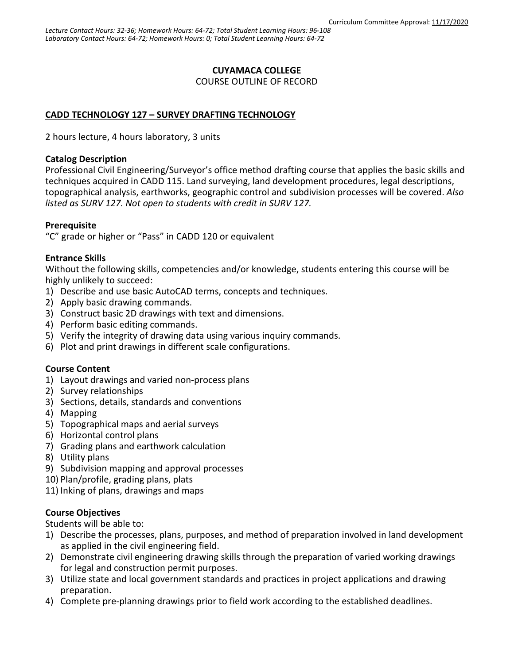# **CUYAMACA COLLEGE**

COURSE OUTLINE OF RECORD

# **CADD TECHNOLOGY 127 – SURVEY DRAFTING TECHNOLOGY**

2 hours lecture, 4 hours laboratory, 3 units

#### **Catalog Description**

Professional Civil Engineering/Surveyor's office method drafting course that applies the basic skills and techniques acquired in CADD 115. Land surveying, land development procedures, legal descriptions, topographical analysis, earthworks, geographic control and subdivision processes will be covered. *Also listed as SURV 127. Not open to students with credit in SURV 127.*

## **Prerequisite**

"C" grade or higher or "Pass" in CADD 120 or equivalent

## **Entrance Skills**

Without the following skills, competencies and/or knowledge, students entering this course will be highly unlikely to succeed:

- 1) Describe and use basic AutoCAD terms, concepts and techniques.
- 2) Apply basic drawing commands.
- 3) Construct basic 2D drawings with text and dimensions.
- 4) Perform basic editing commands.
- 5) Verify the integrity of drawing data using various inquiry commands.
- 6) Plot and print drawings in different scale configurations.

## **Course Content**

- 1) Layout drawings and varied non-process plans
- 2) Survey relationships
- 3) Sections, details, standards and conventions
- 4) Mapping
- 5) Topographical maps and aerial surveys
- 6) Horizontal control plans
- 7) Grading plans and earthwork calculation
- 8) Utility plans
- 9) Subdivision mapping and approval processes
- 10) Plan/profile, grading plans, plats
- 11) Inking of plans, drawings and maps

## **Course Objectives**

Students will be able to:

- 1) Describe the processes, plans, purposes, and method of preparation involved in land development as applied in the civil engineering field.
- 2) Demonstrate civil engineering drawing skills through the preparation of varied working drawings for legal and construction permit purposes.
- 3) Utilize state and local government standards and practices in project applications and drawing preparation.
- 4) Complete pre-planning drawings prior to field work according to the established deadlines.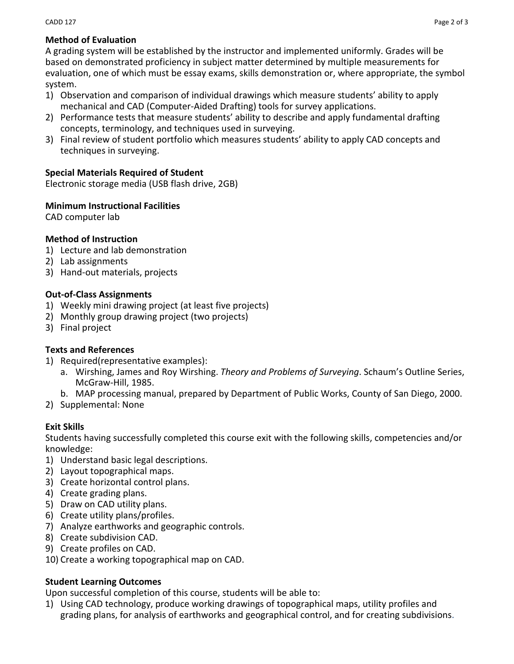## **Method of Evaluation**

A grading system will be established by the instructor and implemented uniformly. Grades will be based on demonstrated proficiency in subject matter determined by multiple measurements for evaluation, one of which must be essay exams, skills demonstration or, where appropriate, the symbol system.

- 1) Observation and comparison of individual drawings which measure students' ability to apply mechanical and CAD (Computer-Aided Drafting) tools for survey applications.
- 2) Performance tests that measure students' ability to describe and apply fundamental drafting concepts, terminology, and techniques used in surveying.
- 3) Final review of student portfolio which measures students' ability to apply CAD concepts and techniques in surveying.

## **Special Materials Required of Student**

Electronic storage media (USB flash drive, 2GB)

#### **Minimum Instructional Facilities**

CAD computer lab

#### **Method of Instruction**

- 1) Lecture and lab demonstration
- 2) Lab assignments
- 3) Hand-out materials, projects

#### **Out-of-Class Assignments**

- 1) Weekly mini drawing project (at least five projects)
- 2) Monthly group drawing project (two projects)
- 3) Final project

#### **Texts and References**

- 1) Required(representative examples):
	- a. Wirshing, James and Roy Wirshing. *Theory and Problems of Surveying*. Schaum's Outline Series, McGraw-Hill, 1985.
	- b. MAP processing manual, prepared by Department of Public Works, County of San Diego, 2000.
- 2) Supplemental: None

#### **Exit Skills**

Students having successfully completed this course exit with the following skills, competencies and/or knowledge:

- 1) Understand basic legal descriptions.
- 2) Layout topographical maps.
- 3) Create horizontal control plans.
- 4) Create grading plans.
- 5) Draw on CAD utility plans.
- 6) Create utility plans/profiles.
- 7) Analyze earthworks and geographic controls.
- 8) Create subdivision CAD.
- 9) Create profiles on CAD.
- 10) Create a working topographical map on CAD.

## **Student Learning Outcomes**

Upon successful completion of this course, students will be able to:

1) Using CAD technology, produce working drawings of topographical maps, utility profiles and grading plans, for analysis of earthworks and geographical control, and for creating subdivisions.